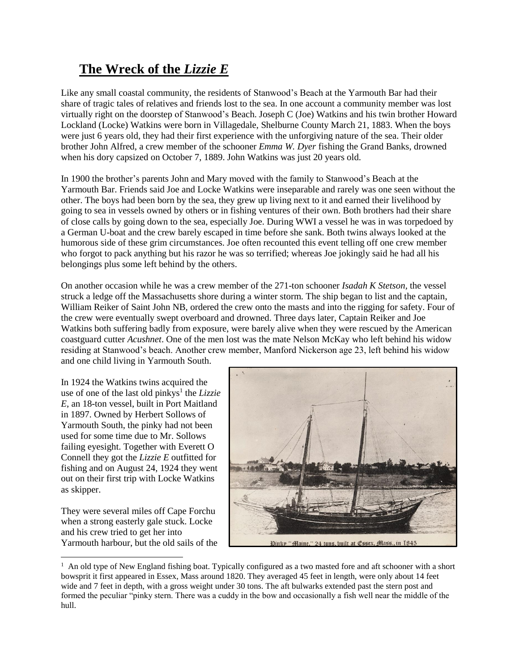## **The Wreck of the** *Lizzie E*

Like any small coastal community, the residents of Stanwood's Beach at the Yarmouth Bar had their share of tragic tales of relatives and friends lost to the sea. In one account a community member was lost virtually right on the doorstep of Stanwood's Beach. Joseph C (Joe) Watkins and his twin brother Howard Lockland (Locke) Watkins were born in Villagedale, Shelburne County March 21, 1883. When the boys were just 6 years old, they had their first experience with the unforgiving nature of the sea. Their older brother John Alfred, a crew member of the schooner *Emma W. Dyer* fishing the Grand Banks, drowned when his dory capsized on October 7, 1889. John Watkins was just 20 years old.

In 1900 the brother's parents John and Mary moved with the family to Stanwood's Beach at the Yarmouth Bar. Friends said Joe and Locke Watkins were inseparable and rarely was one seen without the other. The boys had been born by the sea, they grew up living next to it and earned their livelihood by going to sea in vessels owned by others or in fishing ventures of their own. Both brothers had their share of close calls by going down to the sea, especially Joe. During WWI a vessel he was in was torpedoed by a German U-boat and the crew barely escaped in time before she sank. Both twins always looked at the humorous side of these grim circumstances. Joe often recounted this event telling off one crew member who forgot to pack anything but his razor he was so terrified; whereas Joe jokingly said he had all his belongings plus some left behind by the others.

On another occasion while he was a crew member of the 271-ton schooner *Isadah K Stetson,* the vessel struck a ledge off the Massachusetts shore during a winter storm. The ship began to list and the captain, William Reiker of Saint John NB, ordered the crew onto the masts and into the rigging for safety. Four of the crew were eventually swept overboard and drowned. Three days later, Captain Reiker and Joe Watkins both suffering badly from exposure, were barely alive when they were rescued by the American coastguard cutter *Acushnet*. One of the men lost was the mate Nelson McKay who left behind his widow residing at Stanwood's beach. Another crew member, Manford Nickerson age 23, left behind his widow and one child living in Yarmouth South.

In 1924 the Watkins twins acquired the use of one of the last old pinkys<sup>1</sup> the *Lizzie E*, an 18-ton vessel, built in Port Maitland in 1897. Owned by Herbert Sollows of Yarmouth South, the pinky had not been used for some time due to Mr. Sollows failing eyesight. Together with Everett O Connell they got the *Lizzie E* outfitted for fishing and on August 24, 1924 they went out on their first trip with Locke Watkins as skipper.

They were several miles off Cape Forchu when a strong easterly gale stuck. Locke and his crew tried to get her into Yarmouth harbour, but the old sails of the



 $<sup>1</sup>$  An old type of New England fishing boat. Typically configured as a two masted fore and aft schooner with a short</sup> bowsprit it first appeared in Essex, Mass around 1820. They averaged 45 feet in length, were only about 14 feet wide and 7 feet in depth, with a gross weight under 30 tons. The aft bulwarks extended past the stern post and formed the peculiar "pinky stern. There was a cuddy in the bow and occasionally a fish well near the middle of the hull.